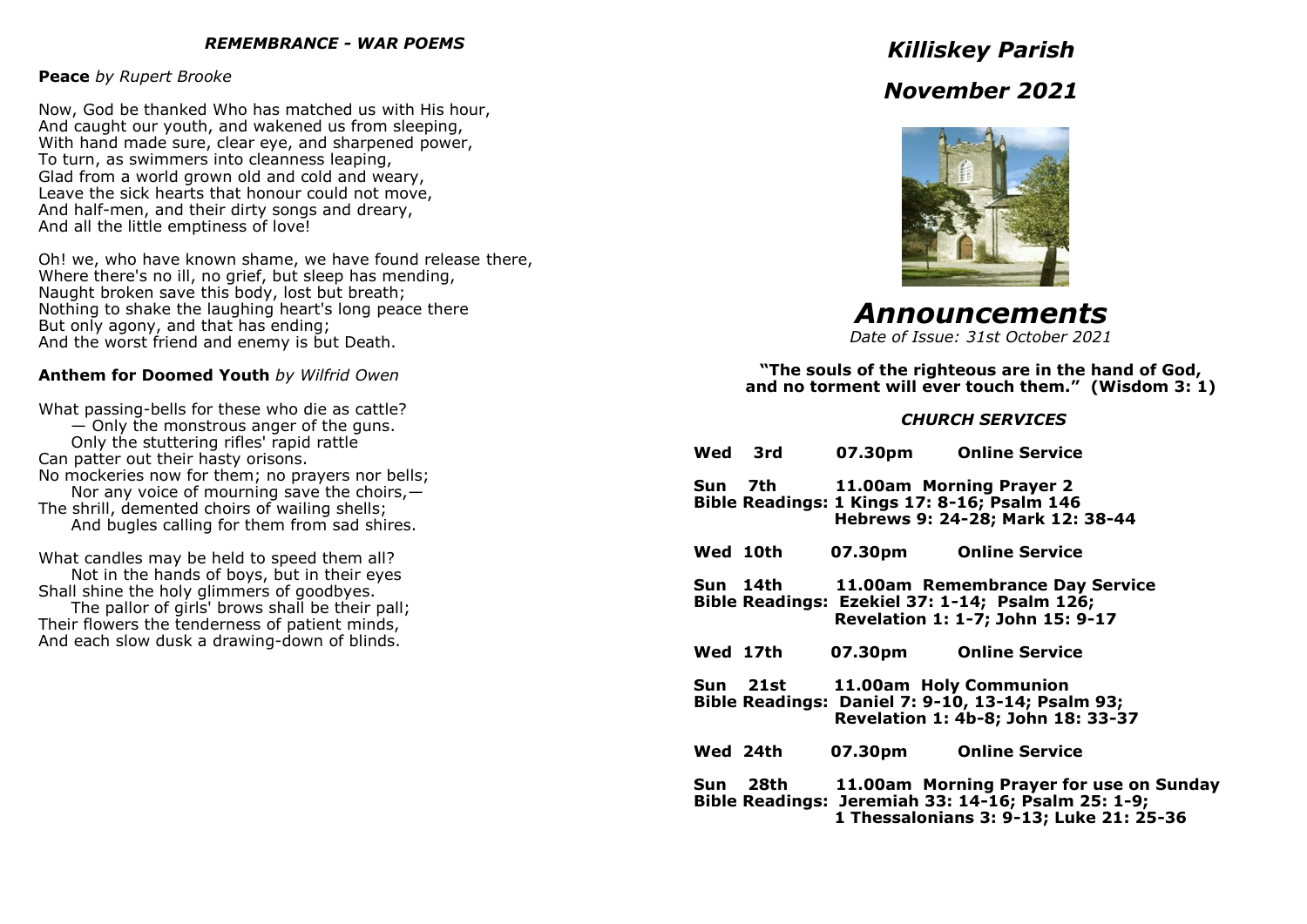#### *REMEMBRANCE - WAR POEMS*

#### **Peace** *by Rupert Brooke*

Now, God be thanked Who has matched us with His hour, And caught our youth, and wakened us from sleeping, With hand made sure, clear eye, and sharpened power, To turn, as swimmers into cleanness leaping, Glad from a world grown old and cold and weary, Leave the sick hearts that honour could not move, And half-men, and their dirty songs and dreary, And all the little emptiness of love!

Oh! we, who have known shame, we have found release there, Where there's no ill, no grief, but sleep has mending. Naught broken save this body, lost but breath; Nothing to shake the laughing heart's long peace there But only agony, and that has ending; And the worst friend and enemy is but Death.

#### **Anthem for Doomed Youth** *by Wilfrid Owen*

What passing-bells for these who die as cattle? — Only the monstrous anger of the guns. Only the stuttering rifles' rapid rattle Can patter out their hasty orisons. No mockeries now for them; no prayers nor bells; Nor any voice of mourning save the choirs, $-$ The shrill, demented choirs of wailing shells; And bugles calling for them from sad shires.

What candles may be held to speed them all? Not in the hands of boys, but in their eyes Shall shine the holy glimmers of goodbyes.

The pallor of girls' brows shall be their pall; Their flowers the tenderness of patient minds, And each slow dusk a drawing-down of blinds.

# *Killiskey Parish*

# *November 2021*



*Announcements*

*Date of Issue: 31st October 2021*

**"The souls of the righteous are in the hand of God, and no torment will ever touch them." (Wisdom 3: 1)** 

#### *CHURCH SERVICES*

| Wed 3rd  |                                  | 07.30pm Online Service                                                                                                                    |
|----------|----------------------------------|-------------------------------------------------------------------------------------------------------------------------------------------|
|          | Sun 7th 11.00am Morning Prayer 2 | Bible Readings: 1 Kings 17: 8-16; Psalm 146<br>Hebrews 9: 24-28; Mark 12: 38-44                                                           |
| Wed 10th | 07.30pm                          | <b>Online Service</b>                                                                                                                     |
|          |                                  | Sun 14th 11.00am Remembrance Day Service<br>Bible Readings: Ezekiel 37: 1-14; Psalm 126;<br>Revelation 1: 1-7; John 15: 9-17              |
| Wed 17th | 07.30pm                          | <b>Online Service</b>                                                                                                                     |
|          | Sun 21st 11.00am Holy Communion  | Bible Readings: Daniel 7: 9-10, 13-14; Psalm 93;<br>Revelation 1: 4b-8; John 18: 33-37                                                    |
| Wed 24th | 07.30pm                          | <b>Online Service</b>                                                                                                                     |
| Sun 28th |                                  | 11.00am Morning Prayer for use on Sunday<br>Bible Readings: Jeremiah 33: 14-16; Psalm 25: 1-9;<br>1 Thessalonians 3: 9-13; Luke 21: 25-36 |